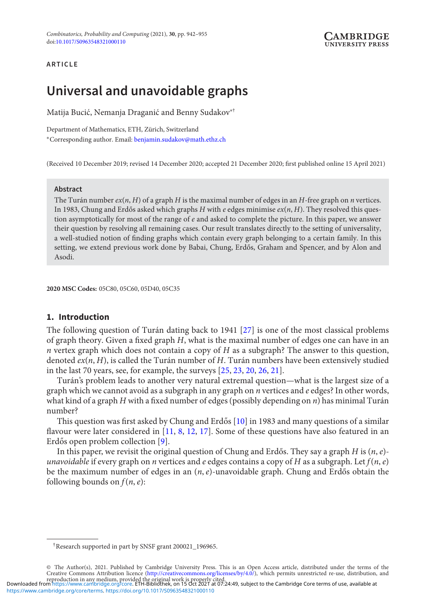## **ARTICLE**

# **Universal and unavoidable graphs**

Matija Bucić, Nemanja Draganić and Benny Sudakov<sup>\*†</sup>

Department of Mathematics, ETH, Zürich, Switzerland <sup>∗</sup>Corresponding author. Email: [benjamin.sudakov@math.ethz.ch](mailto:benjamin.sudakov@math.ethz.ch)

(Received 10 December 2019; revised 14 December 2020; accepted 21 December 2020; first published online 15 April 2021)

#### **Abstract**

The Turán number *ex*(*n*, *H*) of a graph *H* is the maximal number of edges in an *H*-free graph on *n* vertices. In 1983, Chung and Erdős asked which graphs  $H$  with  $e$  edges minimise  $ex(n, H)$ . They resolved this question asymptotically for most of the range of *e* and asked to complete the picture. In this paper, we answer their question by resolving all remaining cases. Our result translates directly to the setting of universality, a well-studied notion of finding graphs which contain every graph belonging to a certain family. In this setting, we extend previous work done by Babai, Chung, Erdős, Graham and Spencer, and by Alon and Asodi.

**2020 MSC Codes:** 05C80, 05C60, 05D40, 05C35

## **1. Introduction**

The following question of Turán dating back to 1941 [\[27\]](#page-13-0) is one of the most classical problems of graph theory. Given a fixed graph *H*, what is the maximal number of edges one can have in an *n* vertex graph which does not contain a copy of *H* as a subgraph? The answer to this question, denoted *ex*(*n*, *H*), is called the Turán number of *H*. Turán numbers have been extensively studied in the last 70 years, see, for example, the surveys [\[25,](#page-13-1) [23,](#page-13-2) [20,](#page-13-3) [26,](#page-13-4) [21\]](#page-13-5).

Turán's problem leads to another very natural extremal question—what is the largest size of a graph which we cannot avoid as a subgraph in any graph on *n* vertices and *e* edges? In other words, what kind of a graph *H* with a fixed number of edges (possibly depending on *n*) has minimal Turán number?

This question was first asked by Chung and Erdős  $[10]$  $[10]$  in 1983 and many questions of a similar flavour were later considered in [\[11,](#page-13-7) [8,](#page-13-8) [12,](#page-13-9) [17\]](#page-13-10). Some of these questions have also featured in an Erdős open problem collection  $[9]$  $[9]$ .

In this paper, we revisit the original question of Chung and Erdős. They say a graph  $H$  is  $(n, e)$ *unavoidable* if every graph on *n* vertices and *e* edges contains a copy of *H* as a subgraph. Let  $f(n, e)$ be the maximum number of edges in an  $(n, e)$ -unavoidable graph. Chung and Erdős obtain the following bounds on *f*(*n*, *e*):

<https://www.cambridge.org/core/terms>.<https://doi.org/10.1017/S0963548321000110>

<sup>†</sup>Research supported in part by SNSF grant 200021\_196965.

<sup>©</sup> The Author(s), 2021. Published by Cambridge University Press. This is an Open Access article, distributed under the terms of the<br>Creative Commons Attribution licence [\(http://creativecommons.org/licenses/by/4.0/\)](http://creativecommons.org/licenses/by/4.0/), which p reproduction in any medium, provided the original work is properly cited.<br>Downloaded from<https://www.cambridge.org/core>. ETH-Bibliothek, on 15 Oct 2021 at 07:24:49, subject to the Cambridge Core terms of use, available at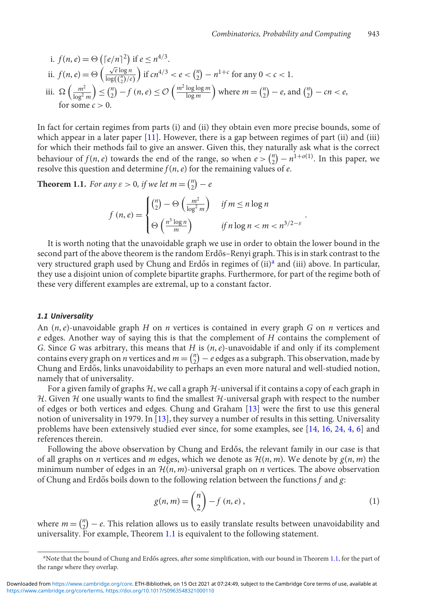i. 
$$
f(n, e) = \Theta\left(\lceil e/n \rceil^2\right)
$$
 if  $e \le n^{4/3}$ .  
\nii.  $f(n, e) = \Theta\left(\frac{\sqrt{e} \log n}{\log(\binom{n}{2}/e)}\right)$  if  $cn^{4/3} < e < \binom{n}{2} - n^{1+c}$  for any  $0 < c < 1$ .  
\niii.  $\Omega\left(\frac{m^2}{\log^2 m}\right) \le \binom{n}{2} - f(n, e) \le \mathcal{O}\left(\frac{m^2 \log \log m}{\log m}\right)$  where  $m = \binom{n}{2} - e$ , and  $\binom{n}{2} - cn < e$ , for some  $c > 0$ .

In fact for certain regimes from parts (i) and (ii) they obtain even more precise bounds, some of which appear in a later paper [\[11\]](#page-13-7). However, there is a gap between regimes of part (ii) and (iii) for which their methods fail to give an answer. Given this, they naturally ask what is the correct behaviour of  $f(n, e)$  towards the end of the range, so when  $e > \binom{n}{2}$  $\binom{n}{2} - n^{1+o(1)}$ . In this paper, we resolve this question and determine  $f(n, e)$  for the remaining values of  $e$ .

<span id="page-1-1"></span>**Theorem 1.1.** *For any*  $\varepsilon > 0$ , *if we let*  $m = \binom{n}{2}$  $\binom{n}{2} - e$ 

$$
f(n,e) = \begin{cases} {n \choose 2} - \Theta\left(\frac{m^2}{\log^2 m}\right) & \text{if } m \le n \log n \\ \Theta\left(\frac{n^3 \log n}{m}\right) & \text{if } n \log n < m < n^{3/2-\varepsilon} \end{cases}.
$$

It is worth noting that the unavoidable graph we use in order to obtain the lower bound in the second part of the above theorem is the random Erdős–Renyi graph. This is in stark contrast to the very structured gr[a](#page-1-0)ph used by Chung and Erdős in regimes of  $(ii)^{a}$  and  $(iii)$  above. In particular, they use a disjoint union of complete bipartite graphs. Furthermore, for part of the regime both of these very different examples are extremal, up to a constant factor.

#### *1.1 Universality*

An (*n*, *e*)-unavoidable graph *H* on *n* vertices is contained in every graph *G* on *n* vertices and *e* edges. Another way of saying this is that the complement of *H* contains the complement of *G*. Since *G* was arbitrary, this means that *H* is (*n*, *e*)-unavoidable if and only if its complement contains every graph on *n* vertices and  $m = \binom{n}{2}$  $\binom{n}{2}$  – *e* edges as a subgraph. This observation, made by Chung and Erdős, links unavoidability to perhaps an even more natural and well-studied notion, namely that of universality.

For a given family of graphs *H*, we call a graph *H*-universal if it contains a copy of each graph in *H*. Given *H* one usually wants to find the smallest *H*-universal graph with respect to the number of edges or both vertices and edges. Chung and Graham [\[13\]](#page-13-12) were the first to use this general notion of universality in 1979. In [\[13\]](#page-13-12), they survey a number of results in this setting. Universality problems have been extensively studied ever since, for some examples, see [\[14,](#page-13-13) [16,](#page-13-14) [24,](#page-13-15) [4,](#page-13-16) [6\]](#page-13-17) and references therein.

Following the above observation by Chung and Erdős, the relevant family in our case is that of all graphs on *n* vertices and *m* edges, which we denote as  $\mathcal{H}(n, m)$ . We denote by  $g(n, m)$  the minimum number of edges in an  $H(n, m)$ -universal graph on *n* vertices. The above observation of Chung and Erdős boils down to the following relation between the functions f and g:

$$
g(n, m) = {n \choose 2} - f(n, e),
$$
 (1)

where  $m = \binom{n}{2}$  $\binom{n}{2}$  – *e*. This relation allows us to easily translate results between unavoidability and universality. For example, Theorem [1.1](#page-1-1) is equivalent to the following statement.

<span id="page-1-0"></span><sup>&</sup>lt;sup>a</sup>Note that the bound of Chung and Erdős agrees, after some simplification, with our bound in Theorem [1.1,](#page-1-1) for the part of the range where they overlap.

<https://www.cambridge.org/core/terms>.<https://doi.org/10.1017/S0963548321000110> Downloaded from<https://www.cambridge.org/core>. ETH-Bibliothek, on 15 Oct 2021 at 07:24:49, subject to the Cambridge Core terms of use, available at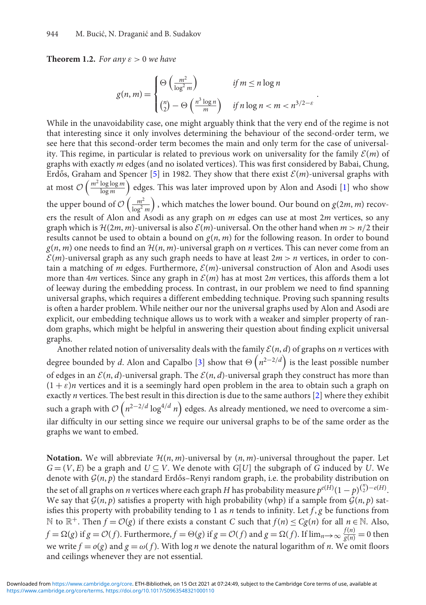<span id="page-2-0"></span>**Theorem 1.2.** *For any*  $\varepsilon > 0$  *we have* 

$$
g(n, m) = \begin{cases} \Theta\left(\frac{m^2}{\log^2 m}\right) & \text{if } m \le n \log n \\ \binom{n}{2} - \Theta\left(\frac{n^3 \log n}{m}\right) & \text{if } n \log n < m < n^{3/2 - \varepsilon} \end{cases}
$$

.

While in the unavoidability case, one might arguably think that the very end of the regime is not that interesting since it only involves determining the behaviour of the second-order term, we see here that this second-order term becomes the main and only term for the case of universality. This regime, in particular is related to previous work on universality for the family  $\mathcal{E}(m)$  of graphs with exactly *m* edges (and no isolated vertices). This was first considered by Babai, Chung, Erdős, Graham and Spencer [[5\]](#page-13-18) in 1982. They show that there exist  $\mathcal{E}(m)$ -universal graphs with at most  $\mathcal{O}\left(\frac{m^2\log\log m}{\log m}\right)$  edges. This was later improved upon by Alon and Asodi [\[1\]](#page-12-0) who show the upper bound of  $\mathcal{O}\left(\frac{m^2}{\log^2}\right)$  $\overline{\log^2 m}$ ), which matches the lower bound. Our bound on  $g(2m, m)$  recovers the result of Alon and Asodi as any graph on *m* edges can use at most 2*m* vertices, so any graph which is  $H(2m, m)$ -universal is also  $E(m)$ -universal. On the other hand when  $m > n/2$  their results cannot be used to obtain a bound on  $g(n, m)$  for the following reason. In order to bound  $g(n, m)$  one needs to find an  $H(n, m)$ -universal graph on *n* vertices. This can never come from an  $E(m)$ -universal graph as any such graph needs to have at least  $2m > n$  vertices, in order to contain a matching of *m* edges. Furthermore, *E*(*m*)-universal construction of Alon and Asodi uses more than  $4m$  vertices. Since any graph in  $\mathcal{E}(m)$  has at most  $2m$  vertices, this affords them a lot of leeway during the embedding process. In contrast, in our problem we need to find spanning universal graphs, which requires a different embedding technique. Proving such spanning results is often a harder problem. While neither our nor the universal graphs used by Alon and Asodi are explicit, our embedding technique allows us to work with a weaker and simpler property of random graphs, which might be helpful in answering their question about finding explicit universal graphs.

Another related notion of universality deals with the family  $\mathcal{E}(n, d)$  of graphs on *n* vertices with degree bounded by *d*. Alon and Capalbo [\[3\]](#page-13-19) show that  $\Theta\left(n^{2-2/d}\right)$  is the least possible number of edges in an  $\mathcal{E}(n, d)$ -universal graph. The  $\mathcal{E}(n, d)$ -universal graph they construct has more than  $(1 + \varepsilon)n$  vertices and it is a seemingly hard open problem in the area to obtain such a graph on exactly *n* vertices. The best result in this direction is due to the same authors [\[2\]](#page-12-1) where they exhibit such a graph with  $\mathcal{O}\left(n^{2-2/d}\log^{4/d}n\right)$  edges. As already mentioned, we need to overcome a similar difficulty in our setting since we require our universal graphs to be of the same order as the graphs we want to embed.

**Notation.** We will abbreviate  $H(n, m)$ -universal by  $(n, m)$ -universal throughout the paper. Let *G* = (*V*, *E*) be a graph and *U* ⊆ *V*. We denote with *G*[*U*] the subgraph of *G* induced by *U*. We denote with  $G(n, p)$  the standard Erdős–Renyi random graph, i.e. the probability distribution on the set of all graphs on *n* vertices where each graph *H* has probability measure  $p^{e(H)}(1-p)^{{n \choose 2}-e(H)}$ . We say that  $G(n, p)$  satisfies a property with high probability (whp) if a sample from  $\mathcal{G}(n, p)$  satisfies this property with probability tending to 1 as *n* tends to infinity. Let  $f$ ,  $g$  be functions from N to  $\mathbb{R}^+$ . Then *f* =  $\mathcal{O}(g)$  if there exists a constant *C* such that *f*(*n*) ≤ *Cg*(*n*) for all *n* ∈ N. Also, *f* = Ω(*g*) if *g* = *O*(*f*). Furthermore, *f* = Θ(*g*) if *g* = *O*(*f*) and *g* = Ω(*f*). If lim<sub>*n*→∞  $\frac{f(n)}{g(n)}$ </sub> = 0 then we write  $f = o(g)$  and  $g = \omega(f)$ . With log *n* we denote the natural logarithm of *n*. We omit floors and ceilings whenever they are not essential.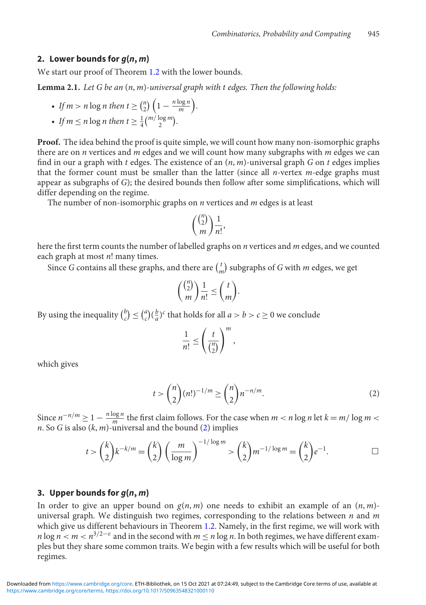### **2. Lower bounds for** *g***(***n***,** *m***)**

<span id="page-3-1"></span>We start our proof of Theorem [1.2](#page-2-0) with the lower bounds.

**Lemma 2.1.** *Let G be an* (*n*, *m*)*-universal graph with t edges. Then the following holds:*

\n- If 
$$
m > n \log n
$$
 then  $t \geq \binom{n}{2} \left( 1 - \frac{n \log n}{m} \right)$ .
\n- If  $m \leq n \log n$  then  $t \geq \frac{1}{4} \binom{m/\log m}{2}$ .
\n

• If 
$$
m \le n \log n
$$
 then  $t \ge \frac{1}{4} {m \log m \choose 2}$ .

**Proof.** The idea behind the proof is quite simple, we will count how many non-isomorphic graphs there are on *n* vertices and *m* edges and we will count how many subgraphs with *m* edges we can find in our a graph with *t* edges. The existence of an (*n*, *m*)-universal graph *G* on *t* edges implies that the former count must be smaller than the latter (since all *n*-vertex *m*-edge graphs must appear as subgraphs of *G*); the desired bounds then follow after some simplifications, which will differ depending on the regime.

The number of non-isomorphic graphs on *n* vertices and *m* edges is at least

$$
\binom{\binom{n}{2}}{m}\frac{1}{n!},
$$

here the first term counts the number of labelled graphs on *n* vertices and *m* edges, and we counted each graph at most *n*! many times.

Since *G* contains all these graphs, and there are  $\binom{t}{n}$  $\binom{t}{m}$  subgraphs of *G* with *m* edges, we get

$$
\binom{\binom{n}{2}}{m}\frac{1}{n!} \leq \binom{t}{m}.
$$

By using the inequality  $\binom{b}{c}$  $c^b$   $\leq$   $\binom{a}{c}$  $\binom{a}{c}$  $(\frac{b}{a})^c$  that holds for all  $a > b > c \ge 0$  we conclude

$$
\frac{1}{n!} \le \left(\frac{t}{\binom{n}{2}}\right)^m,
$$

which gives

<span id="page-3-0"></span>
$$
t > \binom{n}{2} (n!)^{-1/m} \ge \binom{n}{2} n^{-n/m}.
$$
 (2)

Since  $n^{-n/m}$  ≥ 1 −  $\frac{n \log n}{m}$  the first claim follows. For the case when  $m < n \log n$  let  $k = m/\log m <$ *n*. So *G* is also (*k*, *m*)-universal and the bound [\(2\)](#page-3-0) implies

$$
t > {k \choose 2} k^{-k/m} = {k \choose 2} \left(\frac{m}{\log m}\right)^{-1/\log m} > {k \choose 2} m^{-1/\log m} = {k \choose 2} e^{-1}.
$$

# **3. Upper bounds for** *g***(***n***,** *m***)**

In order to give an upper bound on  $g(n, m)$  one needs to exhibit an example of an  $(n, m)$ universal graph. We distinguish two regimes, corresponding to the relations between *n* and *m* which give us different behaviours in Theorem [1.2.](#page-2-0) Namely, in the first regime, we will work with *n* log  $n < m < n^{3/2-\epsilon}$  and in the second with  $m \le n \log n$ . In both regimes, we have different examples but they share some common traits. We begin with a few results which will be useful for both regimes.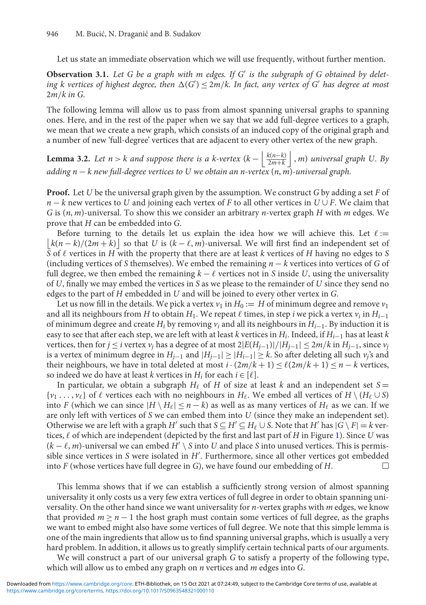Let us state an immediate observation which we will use frequently, without further mention.

**Observation 3.1.** *Let G be a graph with m edges. If G is the subgraph of G obtained by delet*ing k vertices of highest degree, then  $\Delta(G') \leq 2m/k$ . In fact, any vertex of G' has degree at most 2*m*/*k in G.*

The following lemma will allow us to pass from almost spanning universal graphs to spanning ones. Here, and in the rest of the paper when we say that we add full-degree vertices to a graph, we mean that we create a new graph, which consists of an induced copy of the original graph and a number of new 'full-degree' vertices that are adjacent to every other vertex of the new graph.

<span id="page-4-0"></span>**Lemma 3.2.** *Let n* > *k and suppose there is a k-vertex*  $(k - \left| \frac{k(n-k)}{2m+k} \right|, m)$  *universal graph U. By adding n* − *k new full-degree vertices to U we obtain an n-vertex* (*n*, *m*)*-universal graph.*

**Proof.** Let *U* be the universal graph given by the assumption. We construct *G* by adding a set *F* of *n* − *k* new vertices to *U* and joining each vertex of *F* to all other vertices in *U* ∪ *F*. We claim that *G* is (*n*, *m*)-universal. To show this we consider an arbitrary *n*-vertex graph *H* with *m* edges. We prove that *H* can be embedded into *G*.

 $\left| k(n-k)/(2m+k) \right|$  so that *U* is  $(k-\ell, m)$ -universal. We will first find an independent set of Before turning to the details let us explain the idea how we will achieve this. Let  $\ell :=$  $\overline{S}$  of  $\ell$  vertices in *H* with the property that there are at least *k* vertices of *H* having no edges to *S* (including vertices of *S* themselves). We embed the remaining *n* − *k* vertices into vertices of *G* of full degree, we then embed the remaining  $k - \ell$  vertices not in *S* inside *U*, using the universality of *U*, finally we may embed the vertices in *S* as we please to the remainder of *U* since they send no edges to the part of *H* embedded in *U* and will be joined to every other vertex in *G*.

Let us now fill in the details. We pick a vertex  $v_1$  in  $H_0 := H$  of minimum degree and remove  $v_1$ and all its neighbours from *H* to obtain  $H_1$ . We repeat  $\ell$  times, in step *i* we pick a vertex  $v_i$  in  $H_{i-1}$ of minimum degree and create  $H_i$  by removing  $v_i$  and all its neighbours in  $H_{i-1}$ . By induction it is easy to see that after each step, we are left with at least *k* vertices in *Hi*. Indeed, if *Hi*<sup>−</sup><sup>1</sup> has at least *k* vertices, then for  $j \le i$  vertex  $v_j$  has a degree of at most  $2|E(H_{j-1})|/|H_{j-1}| \le 2m/k$  in  $H_{j-1}$ , since  $v_j$ is a vertex of minimum degree in  $H_{i-1}$  and  $|H_{i-1}| \geq |H_{i-1}| \geq k$ . So after deleting all such *v<sub>i</sub>*'s and their neighbours, we have in total deleted at most  $i \cdot (2m/k + 1) \leq \ell(2m/k + 1) \leq n - k$  vertices, so indeed we do have at least *k* vertices in  $H_i$  for each  $i \in [\ell]$ .

In particular, we obtain a subgraph  $H_{\ell}$  of *H* of size at least *k* and an independent set *S* =  $\{v_1, \ldots, v_\ell\}$  of  $\ell$  vertices each with no neighbours in *H*<sub> $\ell$ </sub>. We embed all vertices of *H* \ (*H*<sub> $\ell$ </sub> ∪ *S*) into *F* (which we can since  $|H \setminus H_\ell| \le n - k$ ) as well as as many vertices of  $H_\ell$  as we can. If we are only left with vertices of *S* we can embed them into *U* (since they make an independent set). Otherwise we are left with a graph *H'* such that  $S \subseteq H' \subseteq H_\ell \cup S$ . Note that *H'* has  $|G \setminus F| = k$  vertices,  $\ell$  of which are independent (depicted by the first and last part of *H* in Figure [1\)](#page-5-0). Since *U* was  $(k - \ell, m)$ -universal we can embed *H'* \ *S* into *U* and place *S* into unused vertices. This is permissible since vertices in *S* were isolated in *H* . Furthermore, since all other vertices got embedded into *F* (whose vertices have full degree in *G*), we have found our embedding of *H*.  $\Box$ 

This lemma shows that if we can establish a sufficiently strong version of almost spanning universality it only costs us a very few extra vertices of full degree in order to obtain spanning universality. On the other hand since we want universality for *n*-vertex graphs with *m* edges, we know that provided  $m > n - 1$  the host graph must contain some vertices of full degree, as the graphs we want to embed might also have some vertices of full degree. We note that this simple lemma is one of the main ingredients that allow us to find spanning universal graphs, which is usually a very hard problem. In addition, it allows us to greatly simplify certain technical parts of our arguments.

We will construct a part of our universal graph *G* to satisfy a property of the following type, which will allow us to embed any graph on *n* vertices and *m* edges into *G*.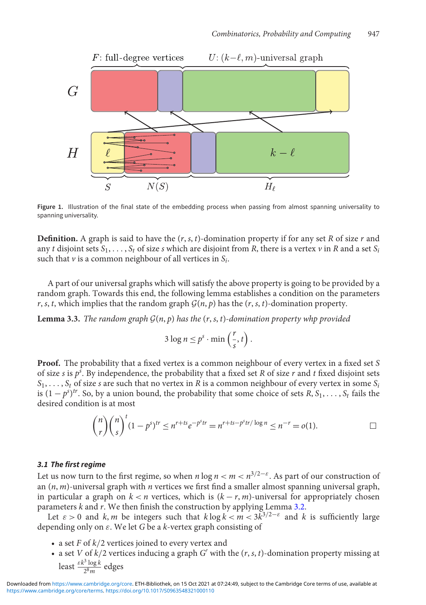<span id="page-5-0"></span>

**Figure 1.** Illustration of the final state of the embedding process when passing from almost spanning universality to spanning universality.

**Definition.** A graph is said to have the  $(r, s, t)$ -domination property if for any set *R* of size *r* and any *t* disjoint sets  $S_1, \ldots, S_t$  of size *s* which are disjoint from *R*, there is a vertex *v* in *R* and a set  $S_i$ such that *v* is a common neighbour of all vertices in *Si*.

A part of our universal graphs which will satisfy the above property is going to be provided by a random graph. Towards this end, the following lemma establishes a condition on the parameters *r*, *s*, *t*, which implies that the random graph  $G(n, p)$  has the  $(r, s, t)$ -domination property.

<span id="page-5-1"></span>**Lemma 3.3.** *The random graph <sup>G</sup>*(*n*, *<sup>p</sup>*) *has the* (*r*, *<sup>s</sup>*, *<sup>t</sup>*)*-domination property whp provided*

$$
3\log n \leq p^s \cdot \min\left(\frac{r}{s}, t\right).
$$

**Proof.** The probability that a fixed vertex is a common neighbour of every vertex in a fixed set *S* of size *s* is *ps* . By independence, the probability that a fixed set *R* of size *r* and *t* fixed disjoint sets  $S_1, \ldots, S_t$  of size *s* are such that no vertex in *R* is a common neighbour of every vertex in some  $S_i$ is  $(1 - p^{s})^{tr}$ . So, by a union bound, the probability that some choice of sets  $R, S_1, \ldots, S_t$  fails the desired condition is at most

$$
{\binom{n}{r}} {\binom{n}{s}}^t (1-p^s)^{tr} \le n^{r+ts} e^{-p^s tr} = n^{r+ts-p^s tr/\log n} \le n^{-r} = o(1).
$$

#### <span id="page-5-2"></span>*3.1 The first regime*

Let us now turn to the first regime, so when *n* log  $n < m < n^{3/2-\epsilon}$ . As part of our construction of an (*n*, *m*)-universal graph with *n* vertices we first find a smaller almost spanning universal graph, in particular a graph on  $k < n$  vertices, which is  $(k - r, m)$ -universal for appropriately chosen parameters *k* and *r*. We then finish the construction by applying Lemma [3.2.](#page-4-0)

Let  $\varepsilon > 0$  and  $k, m$  be integers such that  $k \log k < m < 3k^{3/2-\varepsilon}$  and  $k$  is sufficiently large depending only on ε. We let *G* be a *k*-vertex graph consisting of

- a set *F* of *k*/2 vertices joined to every vertex and
- a set *V* of  $k/2$  vertices inducing a graph *G'* with the  $(r, s, t)$ -domination property missing at least  $\frac{\varepsilon k^3 \log k}{2^8 m}$  edges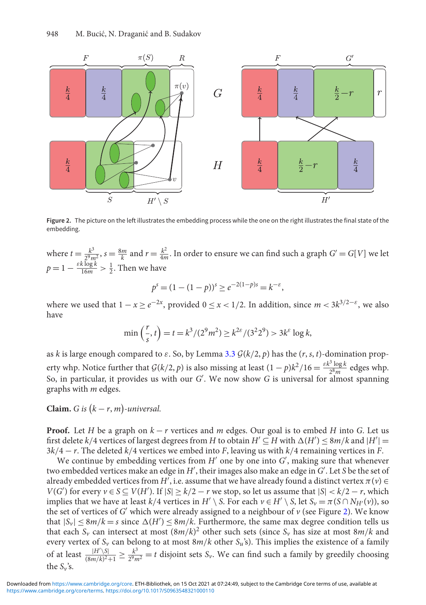<span id="page-6-0"></span>

**Figure 2.** The picture on the left illustrates the embedding process while the one on the right illustrates the final state of the embedding.

where  $t = \frac{k^3}{2^9 m^2}$ ,  $s = \frac{8m}{k}$  and  $r = \frac{k^2}{4m}$ . In order to ensure we can find such a graph  $G' = G[V]$  we let  $p = 1 - \frac{\varepsilon k \log k}{16m} > \frac{1}{2}$ . Then we have

$$
p^{s} = (1 - (1 - p))^{s} \ge e^{-2(1 - p)s} = k^{-\varepsilon},
$$

where we used that  $1 - x \ge e^{-2x}$ , provided  $0 \le x < 1/2$ . In addition, since  $m < 3k^{3/2-\epsilon}$ , we also have

$$
\min\left(\frac{r}{s},t\right) = t = k^3/(2^9 m^2) \ge k^{2\varepsilon}/(3^2 2^9) > 3k^{\varepsilon} \log k,
$$

as *k* is large enough compared to  $\varepsilon$ . So, by Lemma [3.3](#page-5-1)  $G(k/2, p)$  has the  $(r, s, t)$ -domination property whp. Notice further that  $G(k/2, p)$  is also missing at least  $(1-p)k^2/16 = \frac{\varepsilon k^3 \log k}{2^8 m}$  edges whp. So, in particular, it provides us with our *G'*. We now show *G* is universal for almost spanning graphs with *m* edges.

**Claim.** *G* is  $(k - r, m)$ -universal.

**Proof.** Let *H* be a graph on *k* − *r* vertices and *m* edges. Our goal is to embed *H* into *G*. Let us first delete  $k/4$  vertices of largest degrees from *H* to obtain  $H' \subseteq H$  with  $\Delta(H') \leq 8m/k$  and  $|H'| =$ 3*k*/4 − *r*. The deleted *k*/4 vertices we embed into *F*, leaving us with *k*/4 remaining vertices in *F*.

We continue by embedding vertices from H' one by one into G', making sure that whenever two embedded vertices make an edge in *H* , their images also make an edge in *G* . Let *S* be the set of already embedded vertices from  $H',$  i.e. assume that we have already found a distinct vertex  $\pi(v)$   $\in$ *V*(*G'*) for every *v* ∈ *S* ⊆ *V*(*H'*). If  $|S|$  ≥ *k*/2 − *r* we stop, so let us assume that  $|S|$  < *k*/2 − *r*, which implies that we have at least  $k/4$  vertices in  $H' \setminus S$ . For each  $v \in H' \setminus S$ , let  $S_v = \pi(S \cap N_{H'}(v))$ , so the set of vertices of  $G'$  which were already assigned to a neighbour of  $\nu$  (see Figure [2\)](#page-6-0). We know that  $|S_v| \leq 8m/k = s$  since  $\Delta(H') \leq 8m/k$ . Furthermore, the same max degree condition tells us that each  $S_v$  can intersect at most  $(8m/k)^2$  other such sets (since  $S_v$  has size at most  $8m/k$  and every vertex of *Sv* can belong to at most 8*m*/*k* other *Su*'s). This implies the existence of a family of at least  $\frac{|H'\setminus S|}{(8m/k)^2+1} \ge \frac{k^3}{2^9m^2} = t$  disjoint sets  $S_\nu$ . We can find such a family by greedily choosing the  $S_v$ 's.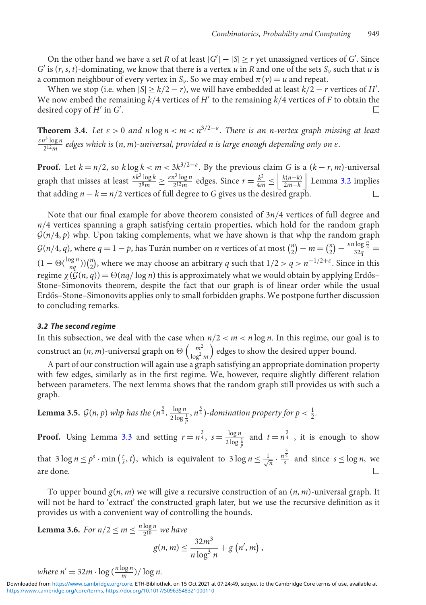On the other hand we have a set *R* of at least  $|G'|-|S| \geq r$  yet unassigned vertices of *G'*. Since  $G'$  is  $(r, s, t)$ -dominating, we know that there is a vertex *u* in *R* and one of the sets  $S_v$  such that *u* is a common neighbour of every vertex in  $S_v$ . So we may embed  $\pi(v) = u$  and repeat.

When we stop (i.e. when  $|S| \ge k/2 - r$ ), we will have embedded at least  $k/2 - r$  vertices of *H'*. We now embed the remaining  $k/4$  vertices of  $H'$  to the remaining  $k/4$  vertices of  $F$  to obtain the desired copy of  $H'$  in  $G'$ . П

<span id="page-7-1"></span>**Theorem 3.4.** *Let*  $\varepsilon > 0$  *and*  $n \log n < m < n^{3/2-\varepsilon}$ . *There is an n-vertex graph missing at least* ε*n*<sup>3</sup> log *n* <sup>2</sup>12*<sup>m</sup> edges which is* (*n*, *m*)*-universal, provided n is large enough depending only on* ε*.*

**Proof.** Let  $k = n/2$ , so  $k \log k < m < 3k^{3/2-\epsilon}$ . By the previous claim *G* is a  $(k - r, m)$ -universal graph that misses at least  $\frac{\varepsilon k^3 \log k}{2^8 m} \ge \frac{\varepsilon n^3 \log n}{2^{12} m}$  edges. Since  $r = \frac{k^2}{4m} \le \left\lfloor \frac{k(n-k)}{2m+k} \right\rfloor$  Lemma [3.2](#page-4-0) implies that adding  $n - k = n/2$  vertices of full degree to *G* gives us the desired graph.  $\Box$ 

Note that our final example for above theorem consisted of 3*n*/4 vertices of full degree and *n*/4 vertices spanning a graph satisfying certain properties, which hold for the random graph  $G(n/4, p)$  whp. Upon taking complements, what we have shown is that whp the random graph  $G(n/4, q)$ , where  $q = 1 - p$ , has Turán number on *n* vertices of at most  $\binom{n}{2}$  $\binom{n}{2} - m = \binom{n}{2}$  $\binom{n}{2} - \frac{\varepsilon n \log \frac{n}{2}}{32q} =$  $(1 - \Theta(\frac{\log n}{nq}))\binom{n}{2}$ <sup>n</sup>), where we may choose an arbitrary *q* such that  $1/2 > q > n^{-1/2+\epsilon}$ . Since in this regime  $\chi(G(n, q)) = \Theta(nq/\log n)$  this is approximately what we would obtain by applying Erdős– Stone–Simonovits theorem, despite the fact that our graph is of linear order while the usual Erdős–Stone–Simonovits applies only to small forbidden graphs. We postpone further discussion to concluding remarks.

## *3.2 The second regime*

In this subsection, we deal with the case when  $n/2 < m < n \log n$ . In this regime, our goal is to construct an  $(n, m)$ -universal graph on  $\Theta\left(\frac{m^2}{\ln^2}\right)$  $\overline{\log^2 m}$ edges to show the desired upper bound.

A part of our construction will again use a graph satisfying an appropriate domination property with few edges, similarly as in the first regime. We, however, require slightly different relation between parameters. The next lemma shows that the random graph still provides us with such a graph.

<span id="page-7-0"></span>**Lemma 3.5.** 
$$
\mathcal{G}(n, p)
$$
 *whp has the*  $(n^{\frac{3}{4}}, \frac{\log n}{2 \log \frac{1}{p}}, n^{\frac{3}{4}})$ *-domination property for*  $p < \frac{1}{2}$ *.*

**Proof.** Using Lemma [3.3](#page-5-1) and setting  $r = n^{\frac{3}{4}}$ ,  $s = \frac{\log n}{2 \log \frac{1}{p}}$  and  $t = n^{\frac{3}{4}}$ , it is enough to show that  $3 \log n \le p^s \cdot \min\left(\frac{r}{s}, t\right)$ , which is equivalent to  $3 \log n \le \frac{1}{\sqrt{n}} \cdot \frac{n^{\frac{3}{4}}}{s}$  and since  $s \le \log n$ , we  $\Box$ are done.

To upper bound  $g(n, m)$  we will give a recursive construction of an  $(n, m)$ -universal graph. It will not be hard to 'extract' the constructed graph later, but we use the recursive definition as it provides us with a convenient way of controlling the bounds.

**Lemma 3.6.** *For n*/2  $\leq$  *m*  $\leq \frac{n \log n}{2^{10}}$  *we have*  $g(n, m) \leq \frac{32m^3}{1-\frac{3}{2}}$  $\frac{32m}{n \log^3 n} + g(n', m)$ ,

where  $n' = 32m \cdot \log(\frac{n \log n}{m})/\log n$ .

<https://www.cambridge.org/core/terms>.<https://doi.org/10.1017/S0963548321000110> Downloaded from<https://www.cambridge.org/core>. ETH-Bibliothek, on 15 Oct 2021 at 07:24:49, subject to the Cambridge Core terms of use, available at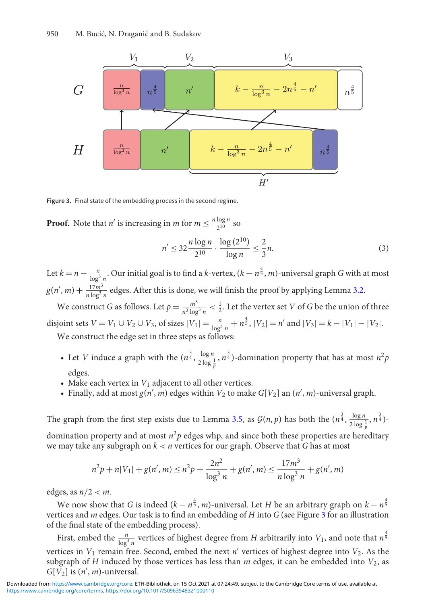<span id="page-8-0"></span>



**Proof.** Note that *n'* is increasing in *m* for  $m \leq \frac{n \log n}{2^{10}}$  so

<span id="page-8-1"></span>
$$
n' \le 32 \frac{n \log n}{2^{10}} \cdot \frac{\log(2^{10})}{\log n} \le \frac{2}{3}n.
$$
 (3)

Let  $k = n - \frac{n}{\log^3 n}$ . Our initial goal is to find a *k*-vertex,  $(k - n^{\frac{4}{5}}, m)$ -universal graph *G* with at most  $g(n',m)+\frac{17m^3}{n\log^3 n}$  edges. After this is done, we will finish the proof by applying Lemma [3.2.](#page-4-0)

We construct *G* as follows. Let  $p = \frac{m^3}{n^3 \log^3 n} < \frac{1}{2}$ . Let the vertex set *V* of *G* be the union of three disjoint sets  $V = V_1 \cup V_2 \cup V_3$ , of sizes  $|V_1| = \frac{n}{\log^3 n} + n^{\frac{4}{5}}$ ,  $|V_2| = n'$  and  $|V_3| = k - |V_1| - |V_2|$ .

We construct the edge set in three steps as follows:

- Let *V* induce a graph with the  $(n^{\frac{3}{4}}, \frac{\log n}{2 \log \frac{1}{p}}, n^{\frac{3}{4}})$ -domination property that has at most  $n^2p$ edges.
- Make each vertex in  $V_1$  adjacent to all other vertices.
- Finally, add at most  $g(n', m)$  edges within  $V_2$  to make  $G[V_2]$  an  $(n', m)$ -universal graph.

The graph from the first step exists due to Lemma [3.5,](#page-7-0) as  $\mathcal{G}(n, p)$  has both the  $(n^{\frac{3}{4}}, \frac{\log n}{2 \log \frac{1}{p}}, n^{\frac{3}{4}})$ -

domination property and at most  $n^2p$  edges whp, and since both these properties are hereditary we may take any subgraph on *k* < *n* vertices for our graph. Observe that *G* has at most

$$
n^{2}p + n|V_{1}| + g(n', m) \leq n^{2}p + \frac{2n^{2}}{\log^{3} n} + g(n', m) \leq \frac{17m^{3}}{n \log^{3} n} + g(n', m)
$$

edges, as *n*/2 < *m*.

We now show that *G* is indeed ( $k - n^{\frac{4}{5}}$ , *m*)-universal. Let *H* be an arbitrary graph on  $k - n^{\frac{4}{5}}$ vertices and *m* edges. Our task is to find an embedding of *H* into *G* (see Figure [3](#page-8-0) for an illustration of the final state of the embedding process).

First, embed the  $\frac{n}{\log^3 n}$  vertices of highest degree from *H* arbitrarily into *V*<sub>1</sub>, and note that  $n^{\frac{4}{5}}$ vertices in  $V_1$  remain free. Second, embed the next  $n'$  vertices of highest degree into  $V_2$ . As the subgraph of  $H$  induced by those vertices has less than  $m$  edges, it can be embedded into  $V_2$ , as  $G[V_2]$  is  $(n', m)$ -universal.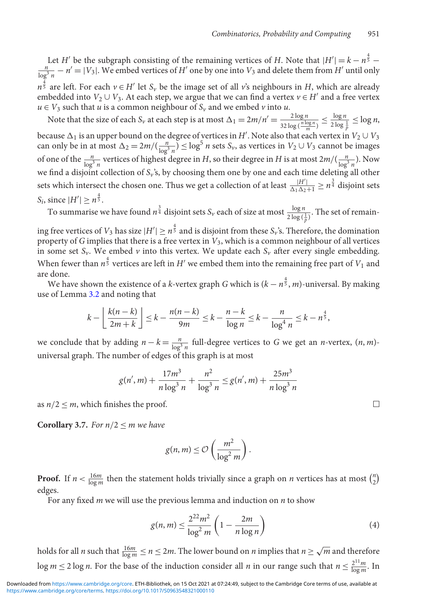Let *H'* be the subgraph consisting of the remaining vertices of *H*. Note that  $|H'| = k - n^{\frac{4}{5}} - \frac{n}{\log^3 n} - n' = |V_3|$ . We embed vertices of *H'* one by one into *V*<sub>3</sub> and delete them from *H'* until only  $n^{\frac{4}{5}}$  are left. For each  $v \in H'$  let  $S_v$  be the image set of all *v*'s neighbours in *H*, which are already

embedded into  $V_2 \cup V_3$ . At each step, we argue that we can find a vertex  $v \in H'$  and a free vertex  $u \in V_3$  such that *u* is a common neighbour of  $S_v$  and we embed *v* into *u*.

Note that the size of each *S<sub>v</sub>* at each step is at most  $\Delta_1 = 2m/n' = \frac{2 \log n}{32 \log(\frac{n \log n}{m})}$  $\leq \frac{\log n}{2 \log \frac{1}{p}} \leq \log n,$ because  $\Delta_1$  is an upper bound on the degree of vertices in *H'*. Note also that each vertex in  $V_2 \cup V_3$ can only be in at most  $\Delta_2 = 2m/(\frac{n}{\log^3 n}) \le \log^5 n$  sets  $S_\nu$ , as vertices in  $V_2 \cup V_3$  cannot be images of one of the  $\frac{n}{\log^3 n}$  vertices of highest degree in *H*, so their degree in *H* is at most  $2m/(\frac{n}{\log^3 n})$ . Now we find a disjoint collection of *S<sub>v</sub>*'s, by choosing them one by one and each time deleting all other sets which intersect the chosen one. Thus we get a collection of at least  $\frac{|H'|}{\Delta_1\Delta_2+1} \ge n^{\frac{3}{4}}$  disjoint sets *S<sub>i</sub>*, since  $|H'| \ge n^{\frac{4}{5}}$ .

To summarise we have found  $n^{\frac{3}{4}}$  disjoint sets  $S_v$  each of size at most  $\frac{\log n}{2\log(\frac{1}{p})}$ . The set of remain-

ing free vertices of  $V_3$  has size  $|H'| \geq n^{\frac{4}{5}}$  and is disjoint from these  $S_\nu$ 's. Therefore, the domination property of *G* implies that there is a free vertex in *V*3, which is a common neighbour of all vertices in some set  $S_\nu$ . We embed  $\nu$  into this vertex. We update each  $S_\nu$  after every single embedding. When fewer than  $n^{\frac{4}{5}}$  vertices are left in  $H'$  we embed them into the remaining free part of  $V_1$  and are done.

We have shown the existence of a *k*-vertex graph *G* which is  $(k - n^{\frac{4}{5}}, m)$ -universal. By making use of Lemma [3.2](#page-4-0) and noting that

$$
k - \left\lfloor \frac{k(n-k)}{2m+k} \right\rfloor \leq k - \frac{n(n-k)}{9m} \leq k - \frac{n-k}{\log n} \leq k - \frac{n}{\log^4 n} \leq k - n^{\frac{4}{5}},
$$

we conclude that by adding  $n - k = \frac{n}{\log^3 n}$  full-degree vertices to *G* we get an *n*-vertex,  $(n, m)$ universal graph. The number of edges of this graph is at most

$$
g(n', m) + \frac{17m^3}{n \log^3 n} + \frac{n^2}{\log^3 n} \le g(n', m) + \frac{25m^3}{n \log^3 n}
$$

as  $n/2 \leq m$ , which finishes the proof.

<span id="page-9-1"></span>**Corollary 3.7.** *For*  $n/2 \le m$  *we have* 

$$
g(n, m) \leq \mathcal{O}\left(\frac{m^2}{\log^2 m}\right).
$$

**Proof.** If  $n < \frac{16m}{\log m}$  then the statement holds trivially since a graph on *n* vertices has at most  $\binom{n}{2}$  $\binom{n}{2}$ edges.

For any fixed *m* we will use the previous lemma and induction on *n* to show

<span id="page-9-0"></span>
$$
g(n,m) \le \frac{2^{22}m^2}{\log^2 m} \left(1 - \frac{2m}{n \log n}\right) \tag{4}
$$

holds for all *n* such that  $\frac{16m}{\log m} \le n \le 2m$ . The lower bound on *n* implies that  $n \ge \sqrt{m}$  and therefore log  $m \le 2 \log n$ . For the base of the induction consider all *n* in our range such that  $n \le \frac{2^{11}m}{\log m}$ . In

 $\Box$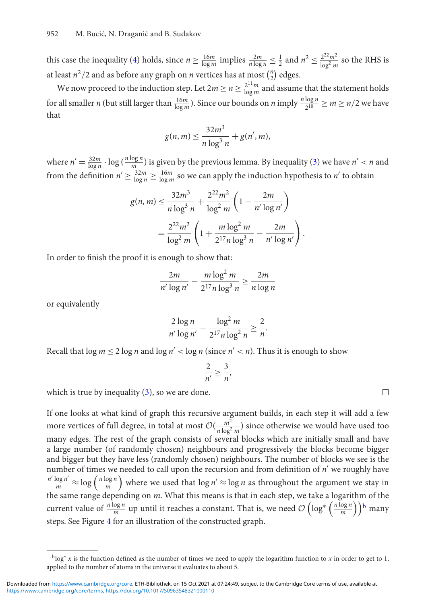this case the inequality [\(4\)](#page-9-0) holds, since  $n \ge \frac{16m}{\log m}$  implies  $\frac{2m}{n \log n} \le \frac{1}{2}$  and  $n^2 \le \frac{2^{22}m^2}{\log^2 m}$  so the RHS is at least  $n^2/2$  and as before any graph on *n* vertices has at most  $\binom{n}{2}$  $n \choose 2$  edges.

We now proceed to the induction step. Let  $2m \ge n \ge \frac{2^{11}m}{\log m}$  and assume that the statement holds for all smaller *n* (but still larger than  $\frac{16m}{\log m}$ ). Since our bounds on *n* imply  $\frac{n\log n}{2^{10}} \ge m \ge n/2$  we have that

$$
g(n, m) \le \frac{32m^3}{n \log^3 n} + g(n', m),
$$

where  $n' = \frac{32m}{\log n} \cdot \log(\frac{n \log n}{m})$  is given by the previous lemma. By inequality [\(3\)](#page-8-1) we have  $n' < n$  and from the definition  $n' \ge \frac{32m}{\log n} \ge \frac{16m}{\log m}$  so we can apply the induction hypothesis to *n'* to obtain

$$
g(n, m) \le \frac{32m^3}{n \log^3 n} + \frac{2^{22}m^2}{\log^2 m} \left(1 - \frac{2m}{n' \log n'}\right)
$$
  
= 
$$
\frac{2^{22}m^2}{\log^2 m} \left(1 + \frac{m \log^2 m}{2^{17} n \log^3 n} - \frac{2m}{n' \log n'}\right).
$$

In order to finish the proof it is enough to show that:

$$
\frac{2m}{n'\log n'} - \frac{m\log^2 m}{2^{17}n\log^3 n} \ge \frac{2m}{n\log n}
$$

or equivalently

$$
\frac{2\log n}{n'\log n'} - \frac{\log^2 m}{2^{17}n\log^2 n} \ge \frac{2}{n}.
$$

Recall that  $\log m \leq 2 \log n$  and  $\log n' < \log n$  (since  $n' < n$ ). Thus it is enough to show

$$
\frac{2}{n'}\geq \frac{3}{n},
$$

which is true by inequality  $(3)$ , so we are done.

If one looks at what kind of graph this recursive argument builds, in each step it will add a few more vertices of full degree, in total at most  $\mathcal{O}(\frac{m^2}{n\log^2 m})$  since otherwise we would have used too many edges. The rest of the graph consists of several blocks which are initially small and have a large number (of randomly chosen) neighbours and progressively the blocks become bigger and bigger but they have less (randomly chosen) neighbours. The number of blocks we see is the number of times we needed to call upon the recursion and from definition of *n'* we roughly have  $\frac{n' \log n'}{m} \approx \log \left( \frac{n \log n}{m} \right)$  where we used that  $\log n' \approx \log n$  as throughout the argument we stay in the same range depending on *m*. What this means is that in each step, we take a logarithm of the current value of  $\frac{n \log n}{m}$  up until it reaches a constant. That is, we need  $\mathcal{O}\left(\log^*\left(\frac{n \log n}{m}\right)\right)$ <sup>[b](#page-10-0)</sup> many steps. See Figure [4](#page-11-0) for an illustration of the constructed graph.

 $\Box$ 

<span id="page-10-0"></span>blog<sup>∗</sup> *x* is the function defined as the number of times we need to apply the logarithm function to *x* in order to get to 1, applied to the number of atoms in the universe it evaluates to about 5.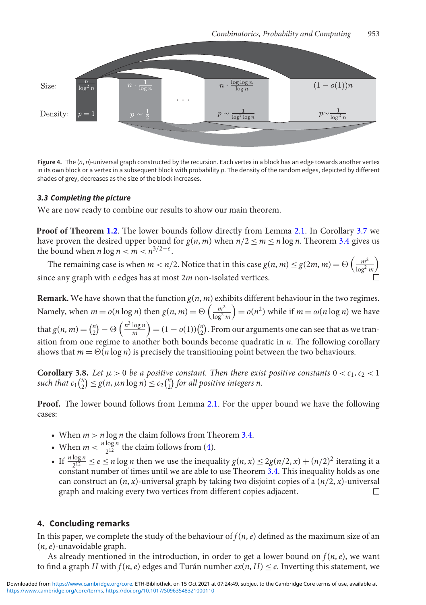<span id="page-11-0"></span>

**Figure 4.** The (*n*, *n*)-universal graph constructed by the recursion. Each vertex in a block has an edge towards another vertex in its own block or a vertex in a subsequent block with probability *p*. The density of the random edges, depicted by different shades of grey, decreases as the size of the block increases.

## *3.3 Completing the picture*

We are now ready to combine our results to show our main theorem.

**Proof of Theorem [1.2](#page-2-0)**. The lower bounds follow directly from Lemma [2.1.](#page-3-1) In Corollary [3.7](#page-9-1) we have proven the desired upper bound for  $g(n, m)$  when  $n/2 \le m \le n \log n$ . Theorem [3.4](#page-7-1) gives us the bound when *n* log  $n < m < n^{3/2-\epsilon}$ .

The remaining case is when  $m < n/2$ . Notice that in this case  $g(n, m) \leq g(2m, m) = \Theta\left(\frac{m^2}{\ln^2}\right)$ log2 *m*  $\setminus$ since any graph with *e* edges has at most 2*m* non-isolated vertices.

**Remark.** We have shown that the function  $g(n, m)$  exhibits different behaviour in the two regimes. Namely, when  $m = o(n \log n)$  then  $g(n, m) = \Theta\left(\frac{m^2}{\log^2 n}\right)$  $\log^2 m$  $= o(n^2)$  while if  $m = \omega(n \log n)$  we have that  $g(n, m) = \binom{n}{2}$  $\binom{n}{2} - \Theta\left(\frac{n^3 \log n}{m}\right) = (1 - o(1))\binom{n}{2}$  $n_2$ ). From our arguments one can see that as we transition from one regime to another both bounds become quadratic in *n*. The following corollary shows that  $m = \Theta(n \log n)$  is precisely the transitioning point between the two behaviours.

**Corollary 3.8.** Let  $\mu > 0$  be a positive constant. Then there exist positive constants  $0 < c_1, c_2 < 1$ such that  $c_1\binom{n}{2}$  $\binom{n}{2}$   $\leq g(n, \mu n \log n) \leq c_2 \binom{n}{2}$ 2 *for all positive integers n.*

**Proof.** The lower bound follows from Lemma [2.1.](#page-3-1) For the upper bound we have the following cases:

- When  $m > n \log n$  the claim follows from Theorem [3.4.](#page-7-1)
- When  $m < \frac{n \log n}{2^{12}}$  the claim follows from [\(4\)](#page-9-0).
- If  $\frac{n \log n}{2!^2} \le e \le n \log n$  then we use the inequality  $g(n, x) \le 2g(n/2, x) + (n/2)^2$  iterating it a constant number of times until we are able to use Theorem [3.4.](#page-7-1) This inequality holds as one can construct an  $(n, x)$ -universal graph by taking two disjoint copies of a  $(n/2, x)$ -universal graph and making every two vertices from different copies adjacent. □

# **4. Concluding remarks**

In this paper, we complete the study of the behaviour of  $f(n, e)$  defined as the maximum size of an (*n*, *e*)-unavoidable graph.

As already mentioned in the introduction, in order to get a lower bound on  $f(n, e)$ , we want to find a graph *H* with  $f(n, e)$  edges and Turán number  $ex(n, H) \leq e$ . Inverting this statement, we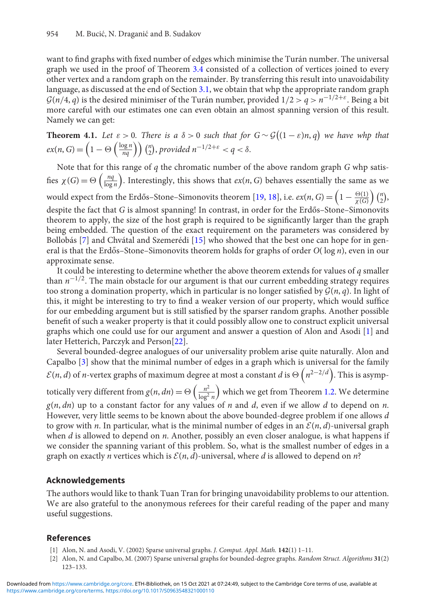want to find graphs with fixed number of edges which minimise the Turán number. The universal graph we used in the proof of Theorem [3.4](#page-7-1) consisted of a collection of vertices joined to every other vertex and a random graph on the remainder. By transferring this result into unavoidability language, as discussed at the end of Section [3.1,](#page-5-2) we obtain that whp the appropriate random graph  $G(n/4, q)$  is the desired minimiser of the Turán number, provided  $1/2 > q > n^{-1/2+\epsilon}$ . Being a bit more careful with our estimates one can even obtain an almost spanning version of this result. Namely we can get:

**Theorem 4.1.** Let  $\varepsilon > 0$ . There is a  $\delta > 0$  such that for  $G \sim \mathcal{G}((1 - \varepsilon)n, q)$  we have whp that  $ex(n, G) = \left(1 - \Theta\left(\frac{\log n}{nq}\right)\right) \binom{n}{2}$  $n\choose 2$ , provided  $n^{-1/2+\varepsilon} < q < \delta$ .

Note that for this range of *q* the chromatic number of the above random graph *G* whp satisfies  $\chi(G) = \Theta\left(\frac{nq}{\log n}\right)$ . Interestingly, this shows that  $ex(n, G)$  behaves essentially the same as we would expect from the Erdős–Stone–Simonovits theorem [[19,](#page-13-20) [18\]](#page-13-21), i.e.  $ex(n, G) = \left(1 - \frac{\Theta(1)}{\chi(G)}\right) \binom{n}{2}$  $\binom{n}{2}$ despite the fact that *G* is almost spanning! In contrast, in order for the Erdős-Stone-Simonovits theorem to apply, the size of the host graph is required to be significantly larger than the graph being embedded. The question of the exact requirement on the parameters was considered by Bollobás [\[7\]](#page-13-22) and Chvátal and Szemerédi [\[15\]](#page-13-23) who showed that the best one can hope for in general is that the Erdős–Stone–Simonovits theorem holds for graphs of order  $O(\log n)$ , even in our approximate sense.

It could be interesting to determine whether the above theorem extends for values of *q* smaller than *n*−1/2. The main obstacle for our argument is that our current embedding strategy requires too strong a domination property, which in particular is no longer satisfied by  $G(n, q)$ . In light of this, it might be interesting to try to find a weaker version of our property, which would suffice for our embedding argument but is still satisfied by the sparser random graphs. Another possible benefit of such a weaker property is that it could possibly allow one to construct explicit universal graphs which one could use for our argument and answer a question of Alon and Asodi [\[1\]](#page-12-0) and later Hetterich, Parczyk and Person[\[22\]](#page-13-24).

Several bounded-degree analogues of our universality problem arise quite naturally. Alon and Capalbo [\[3\]](#page-13-19) show that the minimal number of edges in a graph which is universal for the family  $\mathcal{E}(n,d)$  of *n*-vertex graphs of maximum degree at most a constant  $d$  is  $\Theta\left(n^{2-2/d}\right)$ . This is asymptotically very different from  $g(n, dn) = \Theta\left(\frac{n^2}{\ln n^2}\right)$  $\overline{\log^2 n}$ which we get from Theorem [1.2.](#page-2-0) We determine

*g*(*n*, *dn*) up to a constant factor for any values of *n* and *d*, even if we allow *d* to depend on *n*. However, very little seems to be known about the above bounded-degree problem if one allows *d* to grow with *n*. In particular, what is the minimal number of edges in an  $\mathcal{E}(n, d)$ -universal graph when *d* is allowed to depend on *n*. Another, possibly an even closer analogue, is what happens if we consider the spanning variant of this problem. So, what is the smallest number of edges in a graph on exactly *n* vertices which is  $\mathcal{E}(n, d)$ -universal, where *d* is allowed to depend on *n*?

## **Acknowledgements**

The authors would like to thank Tuan Tran for bringing unavoidability problems to our attention. We are also grateful to the anonymous referees for their careful reading of the paper and many useful suggestions.

## <span id="page-12-0"></span>**References**

- <span id="page-12-1"></span>[1] Alon, N. and Asodi, V. (2002) Sparse universal graphs. *J. Comput. Appl. Math.* **142**(1) 1–11.
- [2] Alon, N. and Capalbo, M. (2007) Sparse universal graphs for bounded-degree graphs. *Random Struct. Algorithms* **31**(2) 123–133.